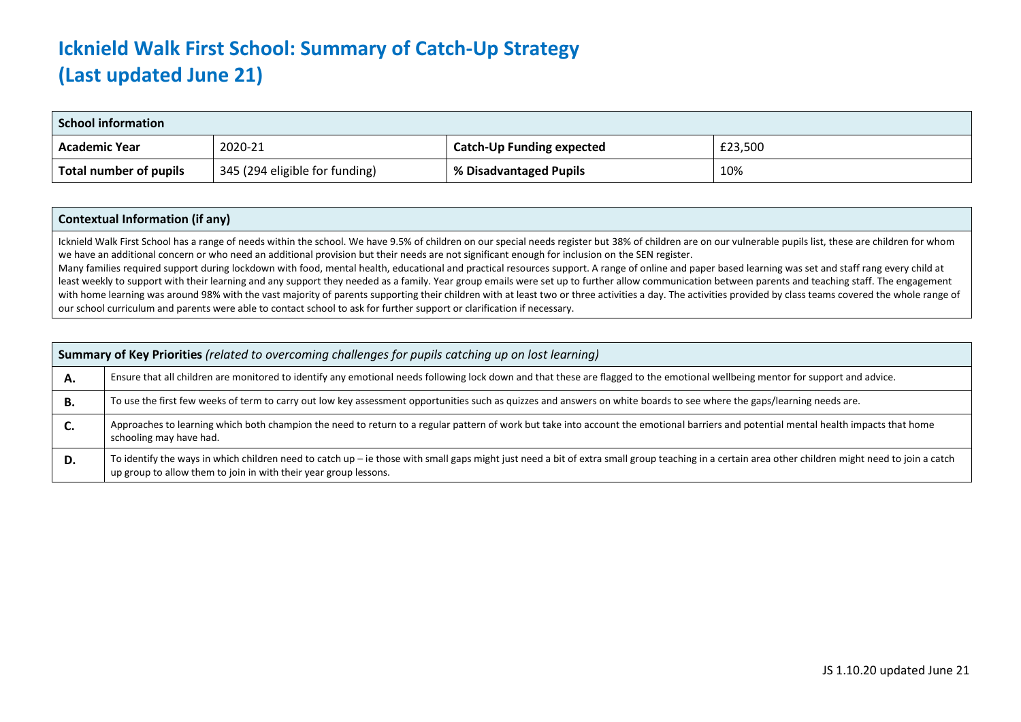## **Icknield Walk First School: Summary of Catch-Up Strategy (Last updated June 21)**

| <b>School information</b> |                                |                                  |         |  |
|---------------------------|--------------------------------|----------------------------------|---------|--|
| <b>Academic Year</b>      | 2020-21                        | <b>Catch-Up Funding expected</b> | £23,500 |  |
| Total number of pupils    | 345 (294 eligible for funding) | % Disadvantaged Pupils           | 10%     |  |

## **Contextual Information (if any)**

Icknield Walk First School has a range of needs within the school. We have 9.5% of children on our special needs register but 38% of children are on our vulnerable pupils list, these are children for whom we have an additional concern or who need an additional provision but their needs are not significant enough for inclusion on the SEN register.

Many families required support during lockdown with food, mental health, educational and practical resources support. A range of online and paper based learning was set and staff rang every child at least weekly to support with their learning and any support they needed as a family. Year group emails were set up to further allow communication between parents and teaching staff. The engagement with home learning was around 98% with the vast majority of parents supporting their children with at least two or three activities a day. The activities provided by class teams covered the whole range of our school curriculum and parents were able to contact school to ask for further support or clarification if necessary.

| Summary of Key Priorities (related to overcoming challenges for pupils catching up on lost learning) |                                                                                                                                                                                                                                                                        |  |  |
|------------------------------------------------------------------------------------------------------|------------------------------------------------------------------------------------------------------------------------------------------------------------------------------------------------------------------------------------------------------------------------|--|--|
| А.                                                                                                   | Ensure that all children are monitored to identify any emotional needs following lock down and that these are flagged to the emotional wellbeing mentor for support and advice.                                                                                        |  |  |
| В.                                                                                                   | To use the first few weeks of term to carry out low key assessment opportunities such as quizzes and answers on white boards to see where the gaps/learning needs are.                                                                                                 |  |  |
| C.                                                                                                   | Approaches to learning which both champion the need to return to a regular pattern of work but take into account the emotional barriers and potential mental health impacts that home<br>schooling may have had.                                                       |  |  |
| D.                                                                                                   | To identify the ways in which children need to catch up - ie those with small gaps might just need a bit of extra small group teaching in a certain area other children might need to join a catch<br>up group to allow them to join in with their year group lessons. |  |  |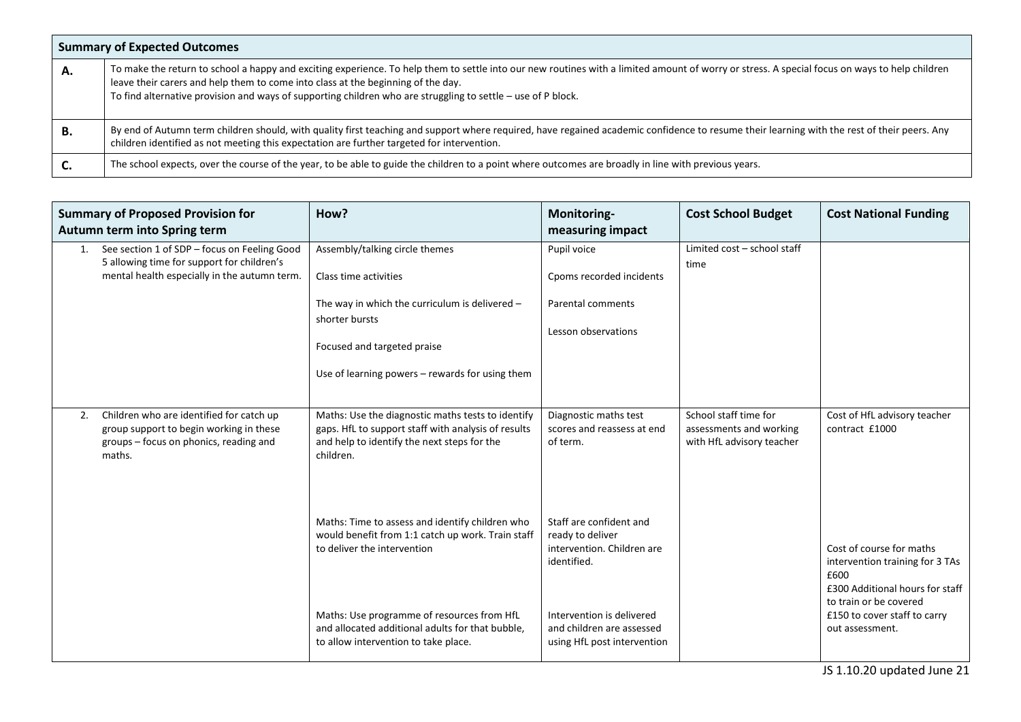| <b>Summary of Expected Outcomes</b> |                                                                                                                                                                                                                                                                                                                                                                                                     |  |  |  |
|-------------------------------------|-----------------------------------------------------------------------------------------------------------------------------------------------------------------------------------------------------------------------------------------------------------------------------------------------------------------------------------------------------------------------------------------------------|--|--|--|
| А.                                  | To make the return to school a happy and exciting experience. To help them to settle into our new routines with a limited amount of worry or stress. A special focus on ways to help children<br>leave their carers and help them to come into class at the beginning of the day.<br>To find alternative provision and ways of supporting children who are struggling to settle $-$ use of P block. |  |  |  |
| В.                                  | By end of Autumn term children should, with quality first teaching and support where required, have regained academic confidence to resume their learning with the rest of their peers. Any<br>children identified as not meeting this expectation are further targeted for intervention.                                                                                                           |  |  |  |
| J.                                  | The school expects, over the course of the year, to be able to guide the children to a point where outcomes are broadly in line with previous years.                                                                                                                                                                                                                                                |  |  |  |

| <b>Summary of Proposed Provision for</b><br>Autumn term into Spring term |                                                                                                                                            | How?                                                                                                                                                                 | Monitoring-<br>measuring impact                                                          | <b>Cost School Budget</b>                                                     | <b>Cost National Funding</b>                                                                                                     |
|--------------------------------------------------------------------------|--------------------------------------------------------------------------------------------------------------------------------------------|----------------------------------------------------------------------------------------------------------------------------------------------------------------------|------------------------------------------------------------------------------------------|-------------------------------------------------------------------------------|----------------------------------------------------------------------------------------------------------------------------------|
| 1.                                                                       | See section 1 of SDP - focus on Feeling Good<br>5 allowing time for support for children's<br>mental health especially in the autumn term. | Assembly/talking circle themes<br>Class time activities                                                                                                              | Pupil voice<br>Cpoms recorded incidents                                                  | Limited cost - school staff<br>time                                           |                                                                                                                                  |
|                                                                          |                                                                                                                                            | The way in which the curriculum is delivered $-$<br>shorter bursts<br>Focused and targeted praise<br>Use of learning powers - rewards for using them                 | Parental comments<br>Lesson observations                                                 |                                                                               |                                                                                                                                  |
| 2.                                                                       | Children who are identified for catch up<br>group support to begin working in these<br>groups - focus on phonics, reading and<br>maths.    | Maths: Use the diagnostic maths tests to identify<br>gaps. HfL to support staff with analysis of results<br>and help to identify the next steps for the<br>children. | Diagnostic maths test<br>scores and reassess at end<br>of term.                          | School staff time for<br>assessments and working<br>with HfL advisory teacher | Cost of HfL advisory teacher<br>contract £1000                                                                                   |
|                                                                          |                                                                                                                                            | Maths: Time to assess and identify children who<br>would benefit from 1:1 catch up work. Train staff<br>to deliver the intervention                                  | Staff are confident and<br>ready to deliver<br>intervention. Children are<br>identified. |                                                                               | Cost of course for maths<br>intervention training for 3 TAs<br>£600<br>£300 Additional hours for staff<br>to train or be covered |
|                                                                          |                                                                                                                                            | Maths: Use programme of resources from HfL<br>and allocated additional adults for that bubble,<br>to allow intervention to take place.                               | Intervention is delivered<br>and children are assessed<br>using HfL post intervention    |                                                                               | £150 to cover staff to carry<br>out assessment.                                                                                  |

JS 1.10.20 updated June 21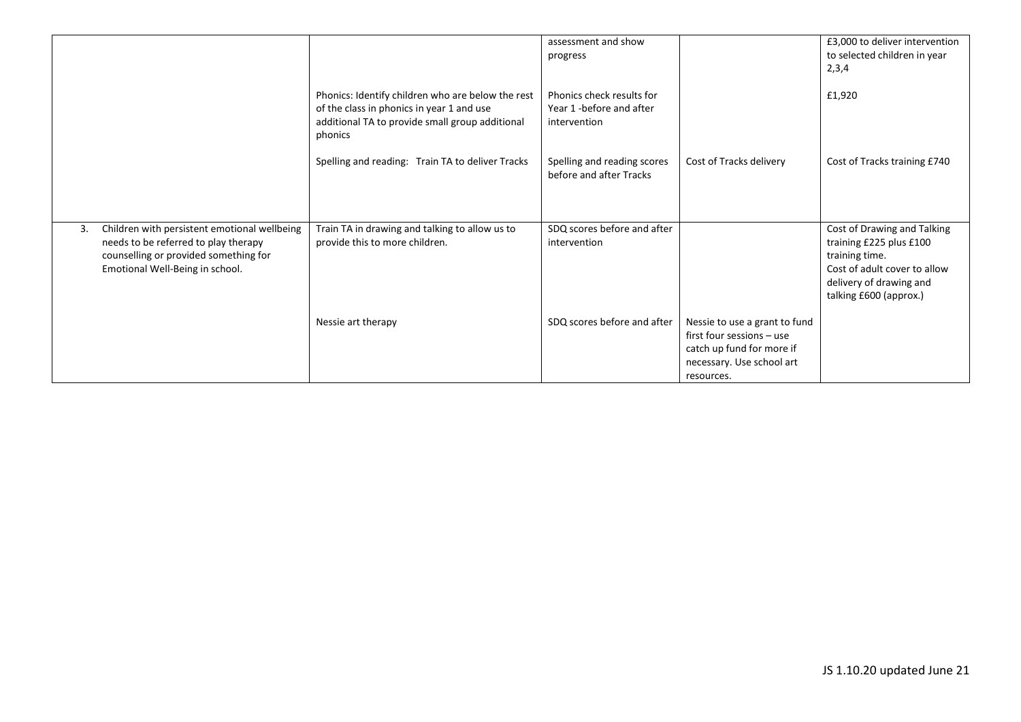|    |                                                                                                                                                                  |                                                                                                                                                              | assessment and show                                                   |                                                                                                                                    | £3,000 to deliver intervention                                                                                                                                |
|----|------------------------------------------------------------------------------------------------------------------------------------------------------------------|--------------------------------------------------------------------------------------------------------------------------------------------------------------|-----------------------------------------------------------------------|------------------------------------------------------------------------------------------------------------------------------------|---------------------------------------------------------------------------------------------------------------------------------------------------------------|
|    |                                                                                                                                                                  |                                                                                                                                                              | progress                                                              |                                                                                                                                    | to selected children in year                                                                                                                                  |
|    |                                                                                                                                                                  |                                                                                                                                                              |                                                                       |                                                                                                                                    | 2,3,4                                                                                                                                                         |
|    |                                                                                                                                                                  | Phonics: Identify children who are below the rest<br>of the class in phonics in year 1 and use<br>additional TA to provide small group additional<br>phonics | Phonics check results for<br>Year 1 -before and after<br>intervention |                                                                                                                                    | £1,920                                                                                                                                                        |
|    |                                                                                                                                                                  | Spelling and reading: Train TA to deliver Tracks                                                                                                             | Spelling and reading scores<br>before and after Tracks                | Cost of Tracks delivery                                                                                                            | Cost of Tracks training £740                                                                                                                                  |
|    |                                                                                                                                                                  |                                                                                                                                                              |                                                                       |                                                                                                                                    |                                                                                                                                                               |
| 3. | Children with persistent emotional wellbeing<br>needs to be referred to play therapy<br>counselling or provided something for<br>Emotional Well-Being in school. | Train TA in drawing and talking to allow us to<br>provide this to more children.                                                                             | SDQ scores before and after<br>intervention                           |                                                                                                                                    | Cost of Drawing and Talking<br>training £225 plus £100<br>training time.<br>Cost of adult cover to allow<br>delivery of drawing and<br>talking £600 (approx.) |
|    |                                                                                                                                                                  | Nessie art therapy                                                                                                                                           | SDQ scores before and after                                           | Nessie to use a grant to fund<br>first four sessions - use<br>catch up fund for more if<br>necessary. Use school art<br>resources. |                                                                                                                                                               |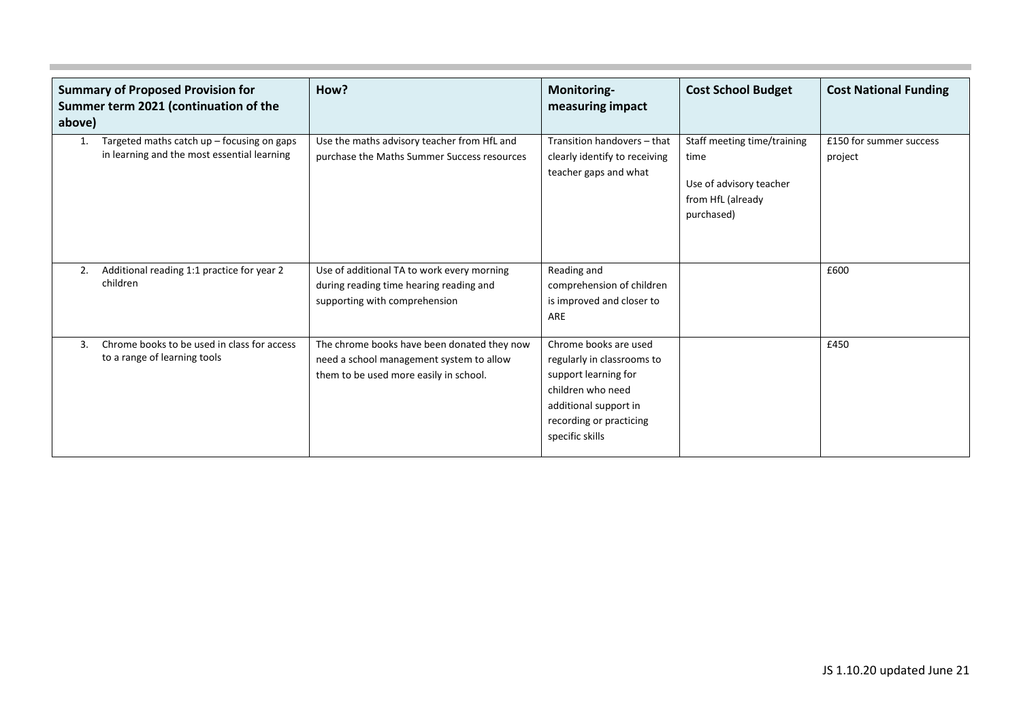| <b>Summary of Proposed Provision for</b><br>Summer term 2021 (continuation of the<br>above) |                                                                                             | How?                                                                                                                              | Monitoring-<br>measuring impact                                                                                                                                         | <b>Cost School Budget</b>                                                                         | <b>Cost National Funding</b>       |
|---------------------------------------------------------------------------------------------|---------------------------------------------------------------------------------------------|-----------------------------------------------------------------------------------------------------------------------------------|-------------------------------------------------------------------------------------------------------------------------------------------------------------------------|---------------------------------------------------------------------------------------------------|------------------------------------|
| 1.                                                                                          | Targeted maths catch $up$ – focusing on gaps<br>in learning and the most essential learning | Use the maths advisory teacher from HfL and<br>purchase the Maths Summer Success resources                                        | Transition handovers - that<br>clearly identify to receiving<br>teacher gaps and what                                                                                   | Staff meeting time/training<br>time<br>Use of advisory teacher<br>from HfL (already<br>purchased) | £150 for summer success<br>project |
| 2.                                                                                          | Additional reading 1:1 practice for year 2<br>children                                      | Use of additional TA to work every morning<br>during reading time hearing reading and<br>supporting with comprehension            | Reading and<br>comprehension of children<br>is improved and closer to<br>ARE                                                                                            |                                                                                                   | £600                               |
| 3.                                                                                          | Chrome books to be used in class for access<br>to a range of learning tools                 | The chrome books have been donated they now<br>need a school management system to allow<br>them to be used more easily in school. | Chrome books are used<br>regularly in classrooms to<br>support learning for<br>children who need<br>additional support in<br>recording or practicing<br>specific skills |                                                                                                   | £450                               |